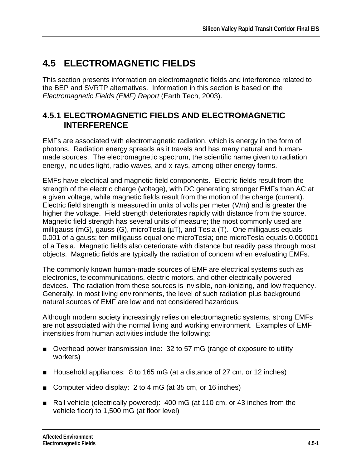# **4.5 ELECTROMAGNETIC FIELDS**

This section presents information on electromagnetic fields and interference related to the BEP and SVRTP alternatives. Information in this section is based on the *Electromagnetic Fields (EMF) Report* (Earth Tech, 2003).

### **4.5.1 ELECTROMAGNETIC FIELDS AND ELECTROMAGNETIC INTERFERENCE**

EMFs are associated with electromagnetic radiation, which is energy in the form of photons. Radiation energy spreads as it travels and has many natural and humanmade sources. The electromagnetic spectrum, the scientific name given to radiation energy, includes light, radio waves, and x-rays, among other energy forms.

EMFs have electrical and magnetic field components. Electric fields result from the strength of the electric charge (voltage), with DC generating stronger EMFs than AC at a given voltage, while magnetic fields result from the motion of the charge (current). Electric field strength is measured in units of volts per meter (V/m) and is greater the higher the voltage. Field strength deteriorates rapidly with distance from the source. Magnetic field strength has several units of measure; the most commonly used are milligauss (mG), gauss (G), microTesla  $(\mu)$ , and Tesla (T). One milligauss equals 0.001 of a gauss; ten milligauss equal one microTesla; one microTesla equals 0.000001 of a Tesla. Magnetic fields also deteriorate with distance but readily pass through most objects. Magnetic fields are typically the radiation of concern when evaluating EMFs.

The commonly known human-made sources of EMF are electrical systems such as electronics, telecommunications, electric motors, and other electrically powered devices. The radiation from these sources is invisible, non-ionizing, and low frequency. Generally, in most living environments, the level of such radiation plus background natural sources of EMF are low and not considered hazardous.

Although modern society increasingly relies on electromagnetic systems, strong EMFs are not associated with the normal living and working environment. Examples of EMF intensities from human activities include the following:

- Overhead power transmission line: 32 to 57 mG (range of exposure to utility workers)
- Household appliances: 8 to 165 mG (at a distance of 27 cm, or 12 inches)
- Computer video display: 2 to 4 mG (at 35 cm, or 16 inches)
- Rail vehicle (electrically powered): 400 mG (at 110 cm, or 43 inches from the vehicle floor) to 1,500 mG (at floor level)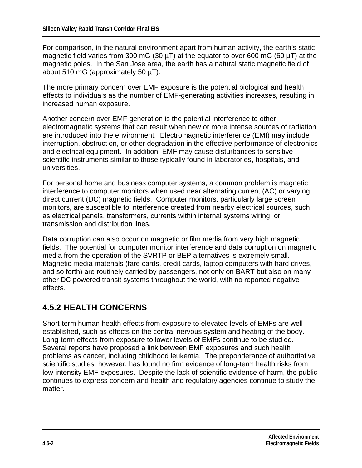For comparison, in the natural environment apart from human activity, the earth's static magnetic field varies from 300 mG (30  $\mu$ T) at the equator to over 600 mG (60  $\mu$ T) at the magnetic poles. In the San Jose area, the earth has a natural static magnetic field of about 510 mG (approximately 50 µT).

The more primary concern over EMF exposure is the potential biological and health effects to individuals as the number of EMF-generating activities increases, resulting in increased human exposure.

Another concern over EMF generation is the potential interference to other electromagnetic systems that can result when new or more intense sources of radiation are introduced into the environment. Electromagnetic interference (EMI) may include interruption, obstruction, or other degradation in the effective performance of electronics and electrical equipment. In addition, EMF may cause disturbances to sensitive scientific instruments similar to those typically found in laboratories, hospitals, and universities.

For personal home and business computer systems, a common problem is magnetic interference to computer monitors when used near alternating current (AC) or varying direct current (DC) magnetic fields. Computer monitors, particularly large screen monitors, are susceptible to interference created from nearby electrical sources, such as electrical panels, transformers, currents within internal systems wiring, or transmission and distribution lines.

Data corruption can also occur on magnetic or film media from very high magnetic fields. The potential for computer monitor interference and data corruption on magnetic media from the operation of the SVRTP or BEP alternatives is extremely small. Magnetic media materials (fare cards, credit cards, laptop computers with hard drives, and so forth) are routinely carried by passengers, not only on BART but also on many other DC powered transit systems throughout the world, with no reported negative effects.

### **4.5.2 HEALTH CONCERNS**

Short-term human health effects from exposure to elevated levels of EMFs are well established, such as effects on the central nervous system and heating of the body. Long-term effects from exposure to lower levels of EMFs continue to be studied. Several reports have proposed a link between EMF exposures and such health problems as cancer, including childhood leukemia. The preponderance of authoritative scientific studies, however, has found no firm evidence of long-term health risks from low-intensity EMF exposures. Despite the lack of scientific evidence of harm, the public continues to express concern and health and regulatory agencies continue to study the matter.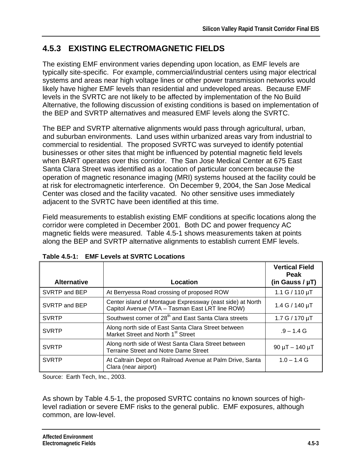# **4.5.3 EXISTING ELECTROMAGNETIC FIELDS**

The existing EMF environment varies depending upon location, as EMF levels are typically site-specific. For example, commercial/industrial centers using major electrical systems and areas near high voltage lines or other power transmission networks would likely have higher EMF levels than residential and undeveloped areas. Because EMF levels in the SVRTC are not likely to be affected by implementation of the No Build Alternative, the following discussion of existing conditions is based on implementation of the BEP and SVRTP alternatives and measured EMF levels along the SVRTC.

The BEP and SVRTP alternative alignments would pass through agricultural, urban, and suburban environments. Land uses within urbanized areas vary from industrial to commercial to residential. The proposed SVRTC was surveyed to identify potential businesses or other sites that might be influenced by potential magnetic field levels when BART operates over this corridor. The San Jose Medical Center at 675 East Santa Clara Street was identified as a location of particular concern because the operation of magnetic resonance imaging (MRI) systems housed at the facility could be at risk for electromagnetic interference. On December 9, 2004, the San Jose Medical Center was closed and the facility vacated. No other sensitive uses immediately adjacent to the SVRTC have been identified at this time.

Field measurements to establish existing EMF conditions at specific locations along the corridor were completed in December 2001. Both DC and power frequency AC magnetic fields were measured. Table 4.5-1 shows measurements taken at points along the BEP and SVRTP alternative alignments to establish current EMF levels.

|                    |                                                                                                              | <b>Vertical Field</b><br>Peak |
|--------------------|--------------------------------------------------------------------------------------------------------------|-------------------------------|
| <b>Alternative</b> | Location                                                                                                     | (in Gauss / $\mu$ T)          |
| SVRTP and BEP      | At Berryessa Road crossing of proposed ROW                                                                   | 1.1 $G / 110 \mu T$           |
| SVRTP and BEP      | Center island of Montague Expressway (east side) at North<br>Capitol Avenue (VTA - Tasman East LRT line ROW) | 1.4 G / 140 $\mu$ T           |
| <b>SVRTP</b>       | Southwest corner of 28 <sup>th</sup> and East Santa Clara streets                                            | $1.7 G / 170 \mu T$           |
| <b>SVRTP</b>       | Along north side of East Santa Clara Street between<br>Market Street and North 1 <sup>st</sup> Street        | $.9 - 1.4$ G                  |
| <b>SVRTP</b>       | Along north side of West Santa Clara Street between<br><b>Terraine Street and Notre Dame Street</b>          | $90 \mu T - 140 \mu T$        |
| <b>SVRTP</b>       | At Caltrain Depot on Railroad Avenue at Palm Drive, Santa<br>Clara (near airport)                            | $1.0 - 1.4$ G                 |

**Table 4.5-1: EMF Levels at SVRTC Locations** 

Source: Earth Tech, Inc., 2003.

As shown by Table 4.5-1, the proposed SVRTC contains no known sources of highlevel radiation or severe EMF risks to the general public. EMF exposures, although common, are low-level.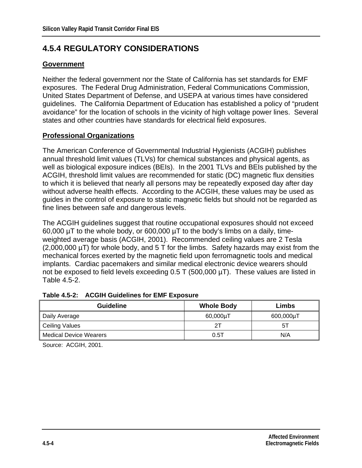## **4.5.4 REGULATORY CONSIDERATIONS**

### **Government**

Neither the federal government nor the State of California has set standards for EMF exposures. The Federal Drug Administration, Federal Communications Commission, United States Department of Defense, and USEPA at various times have considered guidelines. The California Department of Education has established a policy of "prudent avoidance" for the location of schools in the vicinity of high voltage power lines. Several states and other countries have standards for electrical field exposures.

### **Professional Organizations**

The American Conference of Governmental Industrial Hygienists (ACGIH) publishes annual threshold limit values (TLVs) for chemical substances and physical agents, as well as biological exposure indices (BEIs). In the 2001 TLVs and BEIs published by the ACGIH, threshold limit values are recommended for static (DC) magnetic flux densities to which it is believed that nearly all persons may be repeatedly exposed day after day without adverse health effects. According to the ACGIH, these values may be used as guides in the control of exposure to static magnetic fields but should not be regarded as fine lines between safe and dangerous levels.

The ACGIH guidelines suggest that routine occupational exposures should not exceed 60,000 µT to the whole body, or 600,000 µT to the body's limbs on a daily, timeweighted average basis (ACGIH, 2001). Recommended ceiling values are 2 Tesla (2,000,000 µT) for whole body, and 5 T for the limbs. Safety hazards may exist from the mechanical forces exerted by the magnetic field upon ferromagnetic tools and medical implants. Cardiac pacemakers and similar medical electronic device wearers should not be exposed to field levels exceeding 0.5 T (500,000 µT). These values are listed in Table 4.5-2.

| <b>Guideline</b>              | <b>Whole Body</b> | Limbs     |
|-------------------------------|-------------------|-----------|
| Daily Average                 | $60,000 \mu T$    | 600,000µT |
| <b>Ceiling Values</b>         | 21                | 51        |
| <b>Medical Device Wearers</b> | 0.5T              | N/A       |

#### **Table 4.5-2: ACGIH Guidelines for EMF Exposure**

Source: ACGIH, 2001.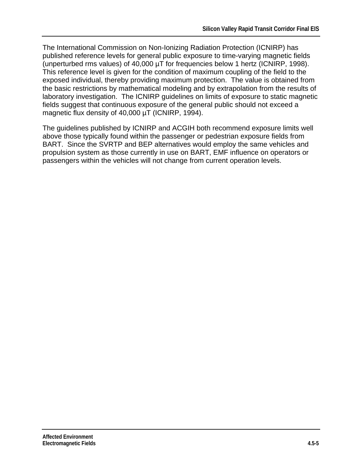The International Commission on Non-Ionizing Radiation Protection (ICNIRP) has published reference levels for general public exposure to time-varying magnetic fields (unperturbed rms values) of 40,000 µT for frequencies below 1 hertz (ICNIRP, 1998). This reference level is given for the condition of maximum coupling of the field to the exposed individual, thereby providing maximum protection. The value is obtained from the basic restrictions by mathematical modeling and by extrapolation from the results of laboratory investigation. The ICNIRP guidelines on limits of exposure to static magnetic fields suggest that continuous exposure of the general public should not exceed a magnetic flux density of 40,000 µT (ICNIRP, 1994).

The guidelines published by ICNIRP and ACGIH both recommend exposure limits well above those typically found within the passenger or pedestrian exposure fields from BART. Since the SVRTP and BEP alternatives would employ the same vehicles and propulsion system as those currently in use on BART, EMF influence on operators or passengers within the vehicles will not change from current operation levels.